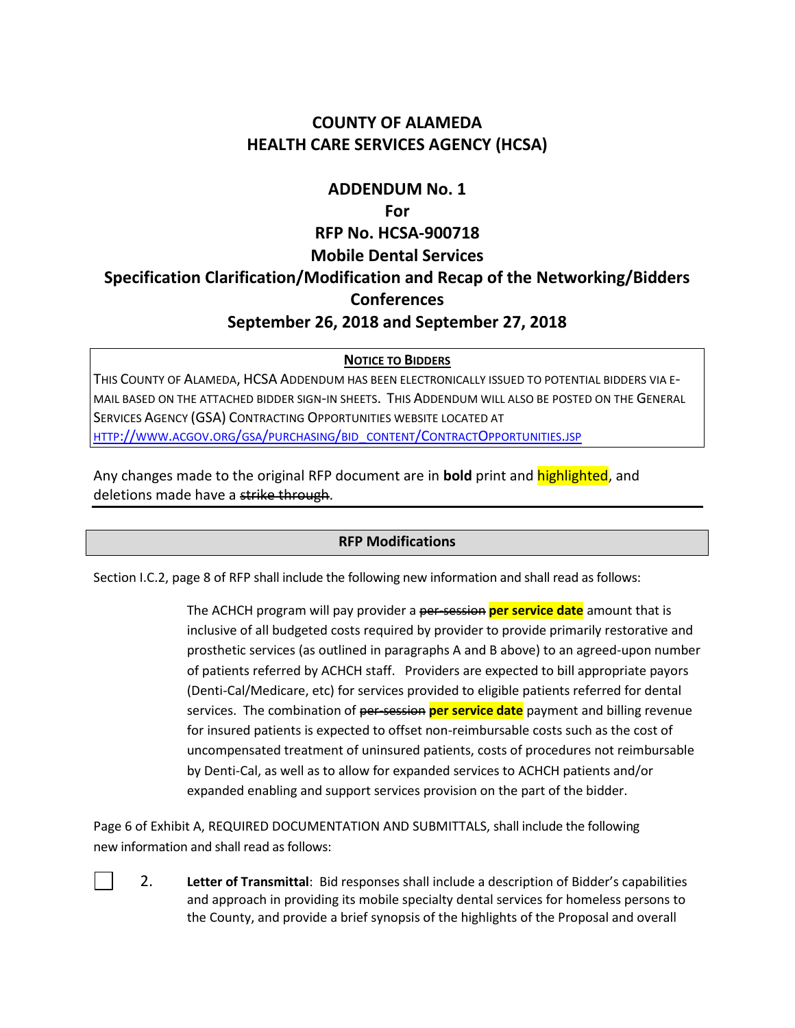# **COUNTY OF ALAMEDA HEALTH CARE SERVICES AGENCY (HCSA)**

# **ADDENDUM No. 1**

#### **For**

# **RFP No. HCSA-900718 Mobile Dental Services Specification Clarification/Modification and Recap of the Networking/Bidders Conferences September 26, 2018 and September 27, 2018**

## **NOTICE TO BIDDERS**

THIS COUNTY OF ALAMEDA, HCSA ADDENDUM HAS BEEN ELECTRONICALLY ISSUED TO POTENTIAL BIDDERS VIA E-MAIL BASED ON THE ATTACHED BIDDER SIGN-IN SHEETS. THIS ADDENDUM WILL ALSO BE POSTED ON THE GENERAL SERVICES AGENCY (GSA) CONTRACTING OPPORTUNITIES WEBSITE LOCATED AT HTTP://WWW.ACGOV.ORG/GSA/PURCHASING/BID\_CONTENT/CONTRACTO[PPORTUNITIES](http://www.acgov.org/gsa/purchasing/bid_content/ContractOpportunities.jsp).JSP

Any changes made to the original RFP document are in **bold** print and highlighted, and deletions made have a strike through.

## **RFP Modifications**

Section I.C.2, page 8 of RFP shall include the following new information and shall read as follows:

The ACHCH program will pay provider a per-session **per service date** amount that is inclusive of all budgeted costs required by provider to provide primarily restorative and prosthetic services (as outlined in paragraphs A and B above) to an agreed-upon number of patients referred by ACHCH staff. Providers are expected to bill appropriate payors (Denti-Cal/Medicare, etc) for services provided to eligible patients referred for dental services. The combination of per-session **per service date** payment and billing revenue for insured patients is expected to offset non-reimbursable costs such as the cost of uncompensated treatment of uninsured patients, costs of procedures not reimbursable by Denti-Cal, as well as to allow for expanded services to ACHCH patients and/or expanded enabling and support services provision on the part of the bidder.

Page 6 of Exhibit A, REQUIRED DOCUMENTATION AND SUBMITTALS, shall include the following new information and shall read as follows:

2. **Letter of Transmittal**: Bid responses shall include a description of Bidder's capabilities and approach in providing its mobile specialty dental services for homeless persons to the County, and provide a brief synopsis of the highlights of the Proposal and overall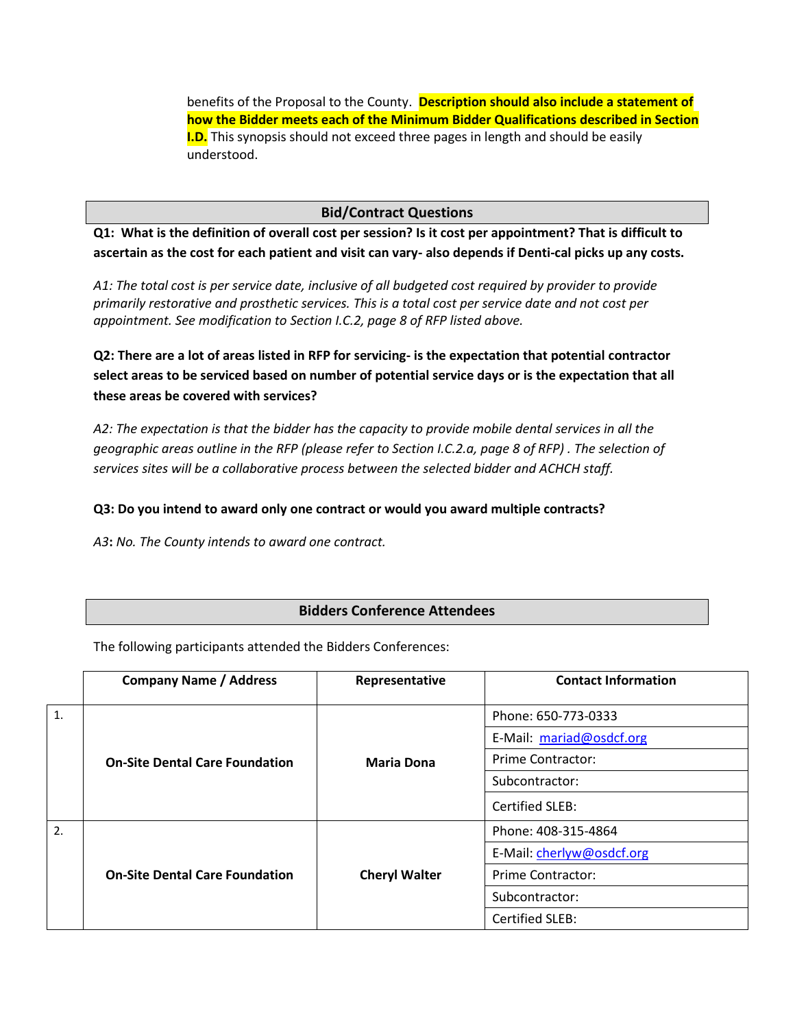benefits of the Proposal to the County. **Description should also include a statement of how the Bidder meets each of the Minimum Bidder Qualifications described in Section I.D.** This synopsis should not exceed three pages in length and should be easily understood.

#### **Bid/Contract Questions**

**Q1: What is the definition of overall cost per session? Is it cost per appointment? That is difficult to ascertain as the cost for each patient and visit can vary- also depends if Denti-cal picks up any costs.** 

*A1: The total cost is per service date, inclusive of all budgeted cost required by provider to provide primarily restorative and prosthetic services. This is a total cost per service date and not cost per appointment. See modification to Section I.C.2, page 8 of RFP listed above.*

**Q2: There are a lot of areas listed in RFP for servicing- is the expectation that potential contractor select areas to be serviced based on number of potential service days or is the expectation that all these areas be covered with services?**

*A2: The expectation is that the bidder has the capacity to provide mobile dental services in all the geographic areas outline in the RFP (please refer to Section I.C.2.a, page 8 of RFP) . The selection of services sites will be a collaborative process between the selected bidder and ACHCH staff.*

#### **Q3: Do you intend to award only one contract or would you award multiple contracts?**

*A3***:** *No. The County intends to award one contract.*

## **Bidders Conference Attendees**

The following participants attended the Bidders Conferences:

|    | <b>Company Name / Address</b>         | Representative       | <b>Contact Information</b> |
|----|---------------------------------------|----------------------|----------------------------|
| 1. |                                       |                      | Phone: 650-773-0333        |
|    |                                       |                      | E-Mail: mariad@osdcf.org   |
|    | <b>On-Site Dental Care Foundation</b> | <b>Maria Dona</b>    | <b>Prime Contractor:</b>   |
|    |                                       |                      | Subcontractor:             |
|    |                                       |                      | <b>Certified SLEB:</b>     |
| 2. |                                       |                      | Phone: 408-315-4864        |
|    | <b>On-Site Dental Care Foundation</b> | <b>Cheryl Walter</b> | E-Mail: cherlyw@osdcf.org  |
|    |                                       |                      | <b>Prime Contractor:</b>   |
|    |                                       |                      | Subcontractor:             |
|    |                                       |                      | Certified SLEB:            |